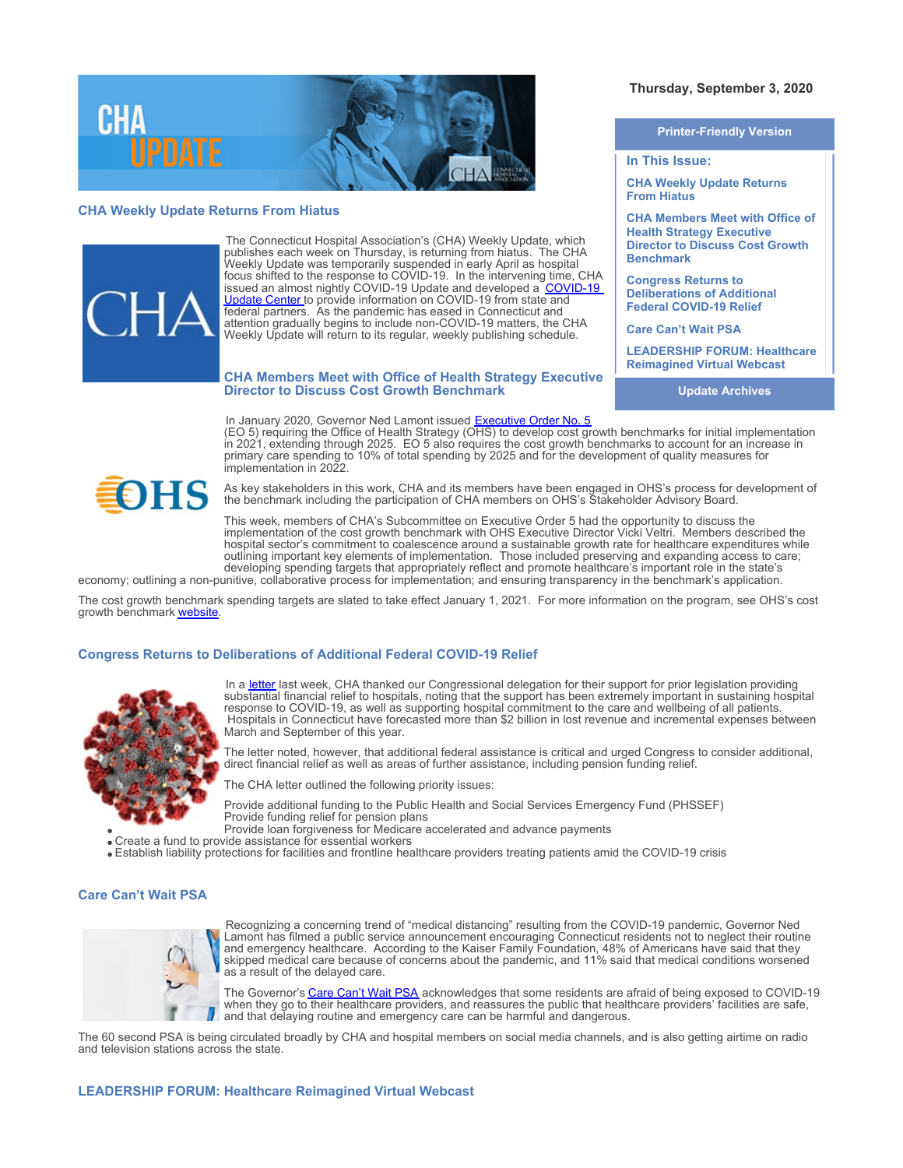

# **CHA Weekly Update Returns From Hiatus**



The Connecticut Hospital Association's (CHA) Weekly Update, which publishes each week on Thursday, is returning from hiatus. The CHA Weekly Update was temporarily suspended in early April as hospital focus shifted to the response to COVID-19. In the intervening time, CHA issued an almost nightly [COVID-19](https://cthosp.org/covid-19-update-center/) Update and developed a COVID-19 [Update Center](https://cthosp.org/covid-19-update-center/) to provide information on COVID-19 from state and federal partners. As the pandemic has eased in Connecticut and attention gradually begins to include non-COVID-19 matters, the CHA Weekly Update will return to its regular, weekly publishing schedule.

#### **CHA Members Meet with Office of Health Strategy Executive Director to Discuss Cost Growth Benchmark**

In January 2020, Governor Ned Lamont issued [Executive Order No. 5](https://portal.ct.gov/-/media/Office-of-the-Governor/Executive-Orders/Lamont-Executive-Orders/Executive-Order-No-5.pdf) (EO 5) requiring the Office of Health Strategy (OHS) to develop cost growth benchmarks for initial implementation in 2021, extending through 2025. EO 5 also requires the cost growth benchmarks to account for an increase in primary care spending to 10% of total spending by 2025 and for the development of quality measures for implementation in 2022.



As key stakeholders in this work, CHA and its members have been engaged in OHS's process for development of the benchmark including the participation of CHA members on OHS's Stakeholder Advisory Board.

This week, members of CHA's Subcommittee on Executive Order 5 had the opportunity to discuss the implementation of the cost growth benchmark with OHS Executive Director Vicki Veltri. Members described the hospital sector's commitment to coalescence around a sustainable growth rate for healthcare expenditures while outlining important key elements of implementation. Those included preserving and expanding access to care; developing spending targets that appropriately reflect and promote healthcare's important role in the state's

economy; outlining a non-punitive, collaborative process for implementation; and ensuring transparency in the benchmark's application.

The cost growth benchmark spending targets are slated to take effect January 1, 2021. For more information on the program, see OHS's cost arowth benchmark [website](https://portal.ct.gov/OHS/Services/Cost-Growth-Quality-Benchmarks-Primary-Care-Target)

### **Congress Returns to Deliberations of Additional Federal COVID-19 Relief**



In a [letter](https://documents.cthosp.org/9/Becky/CTDelegationLetter082620.pdf) last week, CHA thanked our Congressional delegation for their support for prior legislation providing substantial financial relief to hospitals, noting that the support has been extremely important in sustaining hospital response to COVID-19, as well as supporting hospital commitment to the care and wellbeing of all patients. Hospitals in Connecticut have forecasted more than \$2 billion in lost revenue and incremental expenses between March and September of this year.

The letter noted, however, that additional federal assistance is critical and urged Congress to consider additional, direct financial relief as well as areas of further assistance, including pension funding relief.

The CHA letter outlined the following priority issues:

Provide additional funding to the Public Health and Social Services Emergency Fund (PHSSEF) Provide funding relief for pension plans

Provide loan forgiveness for Medicare accelerated and advance payments

Create a fund to provide assistance for essential workers

Establish liability protections for facilities and frontline healthcare providers treating patients amid the COVID-19 crisis

## **Care Can't Wait PSA**



Recognizing a concerning trend of "medical distancing" resulting from the COVID-19 pandemic, Governor Ned Lamont has filmed a public service announcement encouraging Connecticut residents not to neglect their routine and emergency healthcare. According to the Kaiser Family Foundation, 48% of Americans have said that they skipped medical care because of concerns about the pandemic, and 11% said that medical conditions worsened as a result of the delayed care.

The Governor's [Care Can't Wait PSA](https://vimeo.com/448675797) acknowledges that some residents are afraid of being exposed to COVID-19 when they go to their healthcare providers, and reassures the public that healthcare providers' facilities are safe, and that delaying routine and emergency care can be harmful and dangerous.

The 60 second PSA is being circulated broadly by CHA and hospital members on social media channels, and is also getting airtime on radio and television stations across the state.

# **LEADERSHIP FORUM: Healthcare Reimagined Virtual Webcast**

# **Thursday, September 3, 2020**

**Printer-Friendly Version**

**In This Issue:**

**CHA Weekly Update Returns From Hiatus**

**CHA Members Meet with Office of Health Strategy Executive Director to Discuss Cost Growth Benchmark** 

**Congress Returns to Deliberations of Additional Federal COVID-19 Relief**

**Care Can't Wait PSA**

**LEADERSHIP FORUM: Healthcare Reimagined Virtual Webcast**

**Update Archives**